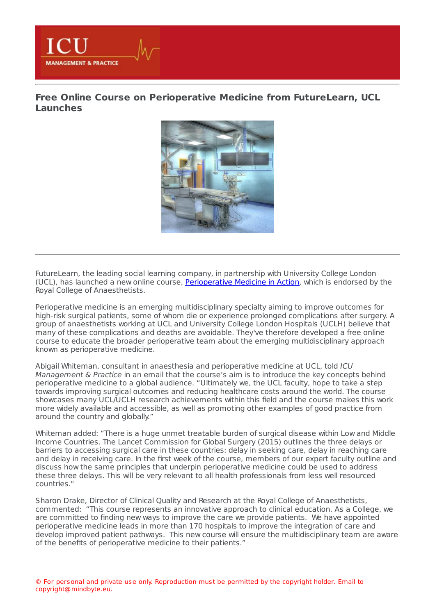

**MANAGEMENT & PRACTICE** 



FutureLearn, the leading social learning company, in partnership with University College London (UCL), has launched a new online course, [Perioperative](https://www.futurelearn.com/courses/perioperative-medicine) Medicine in Action, which is endorsed by the Royal College of Anaesthetists.

Perioperative medicine is an emerging multidisciplinary specialty aiming to improve outcomes for high-risk surgical patients, some of whom die or experience prolonged complications after surgery. A group of anaesthetists working at UCL and University College London Hospitals (UCLH) believe that many of these complications and deaths are avoidable. They've therefore developed a free online course to educate the broader perioperative team about the emerging multidisciplinary approach known as perioperative medicine.

Abigail Whiteman, consultant in anaesthesia and perioperative medicine at UCL, told ICU Management & Practice in an email that the course's aim is to introduce the key concepts behind perioperative medicine to a global audience. "Ultimately we, the UCL faculty, hope to take a step towards improving surgical outcomes and reducing healthcare costs around the world. The course showcases many UCL/UCLH research achievements within this field and the course makes this work more widely available and accessible, as well as promoting other examples of good practice from around the country and globally."

Whiteman added: "There is a huge unmet treatable burden of surgical disease within Low and Middle Income Countries. The Lancet Commission for Global Surgery (2015) outlines the three delays or barriers to accessing surgical care in these countries: delay in seeking care, delay in reaching care and delay in receiving care. In the first week of the course, members of our expert faculty outline and discuss how the same principles that underpin perioperative medicine could be used to address these three delays. This will be very relevant to all health professionals from less well resourced countries."

Sharon Drake, Director of Clinical Quality and Research at the Royal College of Anaesthetists, commented: "This course represents an innovative approach to clinical education. As a College, we are committed to finding new ways to improve the care we provide patients. We have appointed perioperative medicine leads in more than 170 hospitals to improve the integration of care and develop improved patient pathways. This new course will ensure the multidisciplinary team are aware of the benefits of perioperative medicine to their patients."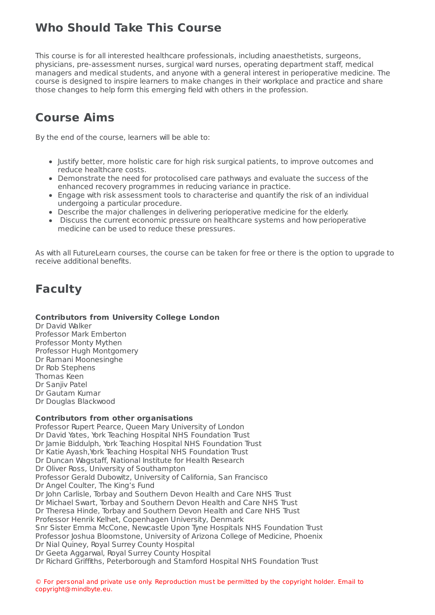### **Who Should Take This Course**

This course is for all interested healthcare professionals, including anaesthetists, surgeons, physicians, pre-assessment nurses, surgical ward nurses, operating department staff, medical managers and medical students, and anyone with a general interest in perioperative medicine. The course is designed to inspire learners to make changes in their workplace and practice and share those changes to help form this emerging field with others in the profession.

## **Course Aims**

By the end of the course, learners will be able to:

- Justify better, more holistic care for high risk surgical patients, to improve outcomes and reduce healthcare costs.
- Demonstrate the need for protocolised care pathways and evaluate the success of the enhanced recovery programmes in reducing variance in practice.
- Engage with risk assessment tools to characterise and quantify the risk of an individual undergoing a particular procedure.
- Describe the major challenges in delivering perioperative medicine for the elderly.
- Discuss the current economic pressure on healthcare systems and how perioperative medicine can be used to reduce these pressures.

As with all FutureLearn courses, the course can be taken for free or there is the option to upgrade to receive additional benefits.

# **Faculty**

### **Contributors from University College London**

Dr David Walker Professor Mark Emberton Professor Monty Mythen Professor Hugh Montgomery Dr Ramani Moonesinghe Dr Rob Stephens Thomas Keen Dr Sanjiv Patel Dr Gautam Kumar Dr Douglas Blackwood

### **Contributors from other organisations**

Professor Rupert Pearce, Queen Mary University of London Dr David Yates, York Teaching Hospital NHS Foundation Trust Dr Jamie Biddulph, York Teaching Hospital NHS Foundation Trust Dr Katie Ayash, York Teaching Hospital NHS Foundation Trust Dr Duncan Wagstaff, National Institute for Health Research Dr Oliver Ross, University of Southampton Professor Gerald Dubowitz, University of California, San Francisco Dr Angel Coulter, The King's Fund Dr John Carlisle, Torbay and Southern Devon Health and Care NHS Trust Dr Michael Swart, Torbay and Southern Devon Health and Care NHS Trust Dr Theresa Hinde, Torbay and Southern Devon Health and Care NHS Trust Professor Henrik Kelhet, Copenhagen University, Denmark Snr Sister Emma McCone, Newcastle Upon Tyne Hospitals NHS Foundation Trust Professor Joshua Bloomstone, University of Arizona College of Medicine, Phoenix Dr Nial Quiney, Royal Surrey County Hospital Dr Geeta Aggarwal, Royal Surrey County Hospital Dr Richard Griffiths, Peterborough and Stamford Hospital NHS Foundation Trust